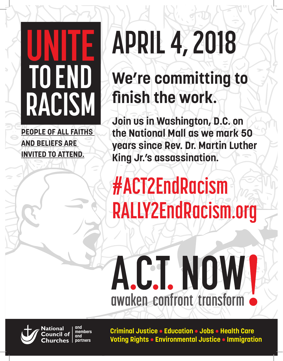## **UNITE TOEND RACISM**

**PEOPLE OF ALL FAITHS AND BELIEFS ARE INVITED TO ATTEND.**

# **APRIL 4, 2018**

### **We're committing to**  finish the work.

**UNITE 19 Join US in Washington, D.C. on<br>
the National Mall as we mark 50<br>
years since Rev. Dr. Martin Luther THE READ**<br> **TOPS**<br> **TOFAL** TO COMPUTE **Join us in Washington, D.C. on the National Mall as we mark 50 King Jr.'s assassination.**

#### UNITE<u></u> **EXACT2EndRacism**<br> **RALIV2EndBacism REIVE RACIS RALLY2EndRacism.org**

primary logo

## A.C.T. NOW **awaken confront transform awaken confront transform**



 $\overline{\mathcal{A}}$  or  $\overline{\mathcal{B}}$ 

**awaken confront transform**

**and National members**  ouncil of **and partners**

**Criminal Justice • Education • Jobs • Health Care Voting Rights • Environmental Justice • Immigration**

scondary logo